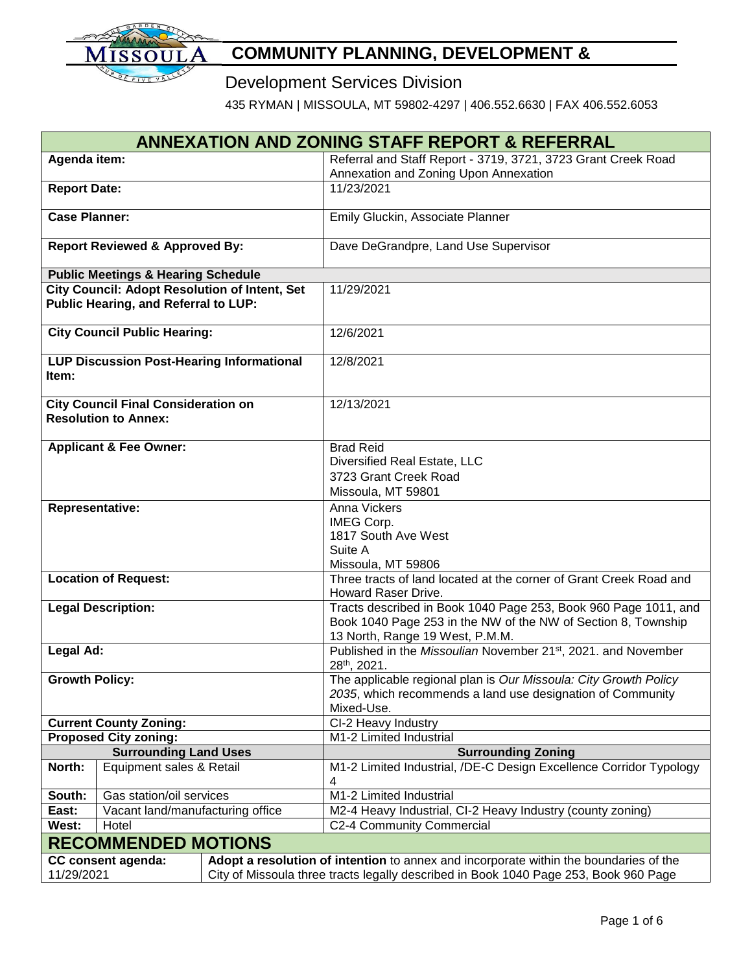

# **COMMUNITY PLANNING, DEVELOPMENT &**

# **Development Services Division**

435 RYMAN | MISSOULA, MT 59802-4297 | 406.552.6630 | FAX 406.552.6053

| <b>ANNEXATION AND ZONING STAFF REPORT &amp; REFERRAL</b>                                                           |                                                  |                                                      |                                                                                          |  |  |  |
|--------------------------------------------------------------------------------------------------------------------|--------------------------------------------------|------------------------------------------------------|------------------------------------------------------------------------------------------|--|--|--|
| Agenda item:                                                                                                       |                                                  |                                                      | Referral and Staff Report - 3719, 3721, 3723 Grant Creek Road                            |  |  |  |
|                                                                                                                    |                                                  |                                                      | Annexation and Zoning Upon Annexation                                                    |  |  |  |
| <b>Report Date:</b>                                                                                                |                                                  |                                                      | 11/23/2021                                                                               |  |  |  |
| <b>Case Planner:</b>                                                                                               |                                                  |                                                      | Emily Gluckin, Associate Planner                                                         |  |  |  |
|                                                                                                                    |                                                  |                                                      |                                                                                          |  |  |  |
|                                                                                                                    | <b>Report Reviewed &amp; Approved By:</b>        |                                                      | Dave DeGrandpre, Land Use Supervisor                                                     |  |  |  |
|                                                                                                                    |                                                  |                                                      |                                                                                          |  |  |  |
|                                                                                                                    | <b>Public Meetings &amp; Hearing Schedule</b>    |                                                      |                                                                                          |  |  |  |
|                                                                                                                    |                                                  | <b>City Council: Adopt Resolution of Intent, Set</b> | 11/29/2021                                                                               |  |  |  |
|                                                                                                                    | Public Hearing, and Referral to LUP:             |                                                      |                                                                                          |  |  |  |
| <b>City Council Public Hearing:</b>                                                                                |                                                  |                                                      | 12/6/2021                                                                                |  |  |  |
|                                                                                                                    |                                                  |                                                      |                                                                                          |  |  |  |
|                                                                                                                    | <b>LUP Discussion Post-Hearing Informational</b> |                                                      | 12/8/2021                                                                                |  |  |  |
| Item:                                                                                                              |                                                  |                                                      |                                                                                          |  |  |  |
|                                                                                                                    | <b>City Council Final Consideration on</b>       |                                                      | 12/13/2021                                                                               |  |  |  |
|                                                                                                                    | <b>Resolution to Annex:</b>                      |                                                      |                                                                                          |  |  |  |
|                                                                                                                    |                                                  |                                                      |                                                                                          |  |  |  |
| <b>Applicant &amp; Fee Owner:</b>                                                                                  |                                                  |                                                      | <b>Brad Reid</b>                                                                         |  |  |  |
|                                                                                                                    |                                                  |                                                      | Diversified Real Estate, LLC                                                             |  |  |  |
|                                                                                                                    |                                                  |                                                      | 3723 Grant Creek Road                                                                    |  |  |  |
|                                                                                                                    |                                                  |                                                      | Missoula, MT 59801                                                                       |  |  |  |
| <b>Representative:</b>                                                                                             |                                                  |                                                      | Anna Vickers                                                                             |  |  |  |
|                                                                                                                    |                                                  |                                                      | IMEG Corp.                                                                               |  |  |  |
|                                                                                                                    |                                                  |                                                      | 1817 South Ave West                                                                      |  |  |  |
|                                                                                                                    |                                                  |                                                      | Suite A                                                                                  |  |  |  |
|                                                                                                                    |                                                  |                                                      | Missoula, MT 59806<br>Three tracts of land located at the corner of Grant Creek Road and |  |  |  |
|                                                                                                                    | <b>Location of Request:</b>                      |                                                      | Howard Raser Drive.                                                                      |  |  |  |
|                                                                                                                    | <b>Legal Description:</b>                        |                                                      | Tracts described in Book 1040 Page 253, Book 960 Page 1011, and                          |  |  |  |
|                                                                                                                    |                                                  |                                                      | Book 1040 Page 253 in the NW of the NW of Section 8, Township                            |  |  |  |
|                                                                                                                    |                                                  |                                                      | 13 North, Range 19 West, P.M.M.                                                          |  |  |  |
| Legal Ad:                                                                                                          |                                                  |                                                      | Published in the Missoulian November 21 <sup>st</sup> , 2021. and November               |  |  |  |
|                                                                                                                    |                                                  |                                                      | 28th, 2021.                                                                              |  |  |  |
| <b>Growth Policy:</b>                                                                                              |                                                  |                                                      | The applicable regional plan is Our Missoula: City Growth Policy                         |  |  |  |
|                                                                                                                    |                                                  |                                                      | 2035, which recommends a land use designation of Community                               |  |  |  |
|                                                                                                                    |                                                  |                                                      | Mixed-Use.                                                                               |  |  |  |
| <b>Current County Zoning:</b>                                                                                      |                                                  |                                                      | CI-2 Heavy Industry                                                                      |  |  |  |
| <b>Proposed City zoning:</b><br><b>Surrounding Land Uses</b>                                                       |                                                  |                                                      | M1-2 Limited Industrial<br><b>Surrounding Zoning</b>                                     |  |  |  |
| North:                                                                                                             | Equipment sales & Retail                         |                                                      | M1-2 Limited Industrial, /DE-C Design Excellence Corridor Typology                       |  |  |  |
|                                                                                                                    |                                                  |                                                      | 4                                                                                        |  |  |  |
| South:                                                                                                             | Gas station/oil services                         |                                                      | M1-2 Limited Industrial                                                                  |  |  |  |
| East:                                                                                                              | Vacant land/manufacturing office                 |                                                      | M2-4 Heavy Industrial, CI-2 Heavy Industry (county zoning)                               |  |  |  |
| West:                                                                                                              | Hotel                                            |                                                      | C2-4 Community Commercial                                                                |  |  |  |
|                                                                                                                    | <b>RECOMMENDED MOTIONS</b>                       |                                                      |                                                                                          |  |  |  |
| Adopt a resolution of intention to annex and incorporate within the boundaries of the<br><b>CC consent agenda:</b> |                                                  |                                                      |                                                                                          |  |  |  |
| 11/29/2021                                                                                                         |                                                  |                                                      | City of Missoula three tracts legally described in Book 1040 Page 253, Book 960 Page     |  |  |  |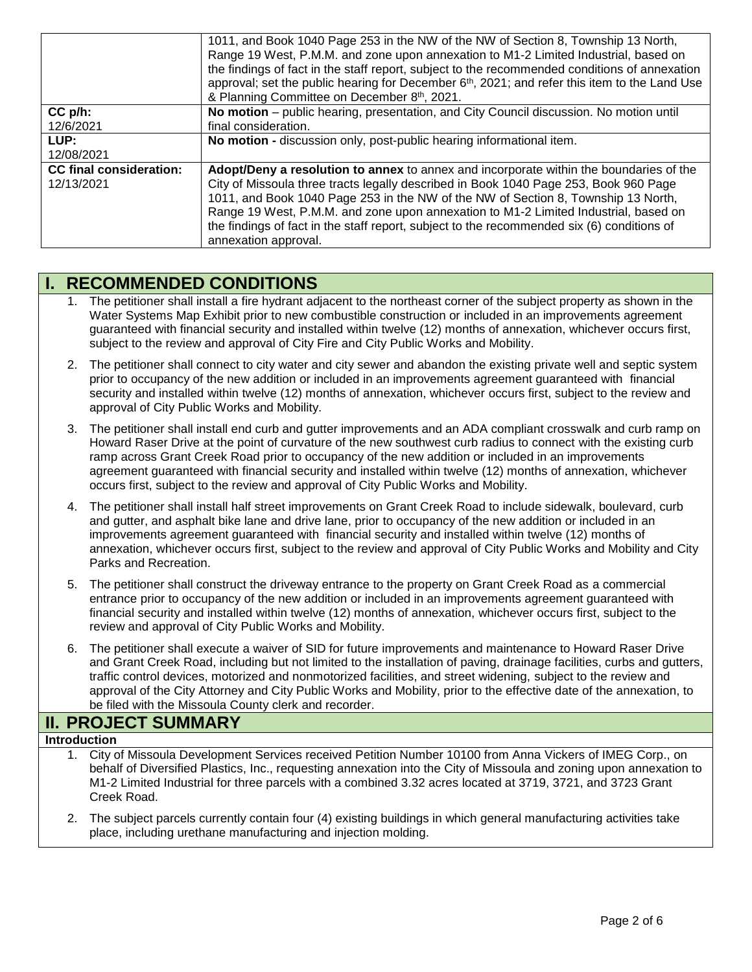|                                              | 1011, and Book 1040 Page 253 in the NW of the NW of Section 8, Township 13 North,<br>Range 19 West, P.M.M. and zone upon annexation to M1-2 Limited Industrial, based on<br>the findings of fact in the staff report, subject to the recommended conditions of annexation<br>approval; set the public hearing for December 6 <sup>th</sup> , 2021; and refer this item to the Land Use<br>& Planning Committee on December 8th, 2021.                                            |
|----------------------------------------------|----------------------------------------------------------------------------------------------------------------------------------------------------------------------------------------------------------------------------------------------------------------------------------------------------------------------------------------------------------------------------------------------------------------------------------------------------------------------------------|
| $CC$ $p/h$ :<br>12/6/2021                    | No motion – public hearing, presentation, and City Council discussion. No motion until<br>final consideration.                                                                                                                                                                                                                                                                                                                                                                   |
| LUP:<br>12/08/2021                           | No motion - discussion only, post-public hearing informational item.                                                                                                                                                                                                                                                                                                                                                                                                             |
| <b>CC final consideration:</b><br>12/13/2021 | Adopt/Deny a resolution to annex to annex and incorporate within the boundaries of the<br>City of Missoula three tracts legally described in Book 1040 Page 253, Book 960 Page<br>1011, and Book 1040 Page 253 in the NW of the NW of Section 8, Township 13 North,<br>Range 19 West, P.M.M. and zone upon annexation to M1-2 Limited Industrial, based on<br>the findings of fact in the staff report, subject to the recommended six (6) conditions of<br>annexation approval. |

# **I. RECOMMENDED CONDITIONS**

- 1. The petitioner shall install a fire hydrant adjacent to the northeast corner of the subject property as shown in the Water Systems Map Exhibit prior to new combustible construction or included in an improvements agreement guaranteed with financial security and installed within twelve (12) months of annexation, whichever occurs first, subject to the review and approval of City Fire and City Public Works and Mobility.
- 2. The petitioner shall connect to city water and city sewer and abandon the existing private well and septic system prior to occupancy of the new addition or included in an improvements agreement guaranteed with financial security and installed within twelve (12) months of annexation, whichever occurs first, subject to the review and approval of City Public Works and Mobility.
- 3. The petitioner shall install end curb and gutter improvements and an ADA compliant crosswalk and curb ramp on Howard Raser Drive at the point of curvature of the new southwest curb radius to connect with the existing curb ramp across Grant Creek Road prior to occupancy of the new addition or included in an improvements agreement guaranteed with financial security and installed within twelve (12) months of annexation, whichever occurs first, subject to the review and approval of City Public Works and Mobility.
- 4. The petitioner shall install half street improvements on Grant Creek Road to include sidewalk, boulevard, curb and gutter, and asphalt bike lane and drive lane, prior to occupancy of the new addition or included in an improvements agreement guaranteed with financial security and installed within twelve (12) months of annexation, whichever occurs first, subject to the review and approval of City Public Works and Mobility and City Parks and Recreation.
- 5. The petitioner shall construct the driveway entrance to the property on Grant Creek Road as a commercial entrance prior to occupancy of the new addition or included in an improvements agreement guaranteed with financial security and installed within twelve (12) months of annexation, whichever occurs first, subject to the review and approval of City Public Works and Mobility.
- 6. The petitioner shall execute a waiver of SID for future improvements and maintenance to Howard Raser Drive and Grant Creek Road, including but not limited to the installation of paving, drainage facilities, curbs and gutters, traffic control devices, motorized and nonmotorized facilities, and street widening, subject to the review and approval of the City Attorney and City Public Works and Mobility, prior to the effective date of the annexation, to be filed with the Missoula County clerk and recorder.

## **II. PROJECT SUMMARY**

## **Introduction**

- 1. City of Missoula Development Services received Petition Number 10100 from Anna Vickers of IMEG Corp., on behalf of Diversified Plastics, Inc., requesting annexation into the City of Missoula and zoning upon annexation to M1-2 Limited Industrial for three parcels with a combined 3.32 acres located at 3719, 3721, and 3723 Grant Creek Road.
- 2. The subject parcels currently contain four (4) existing buildings in which general manufacturing activities take place, including urethane manufacturing and injection molding.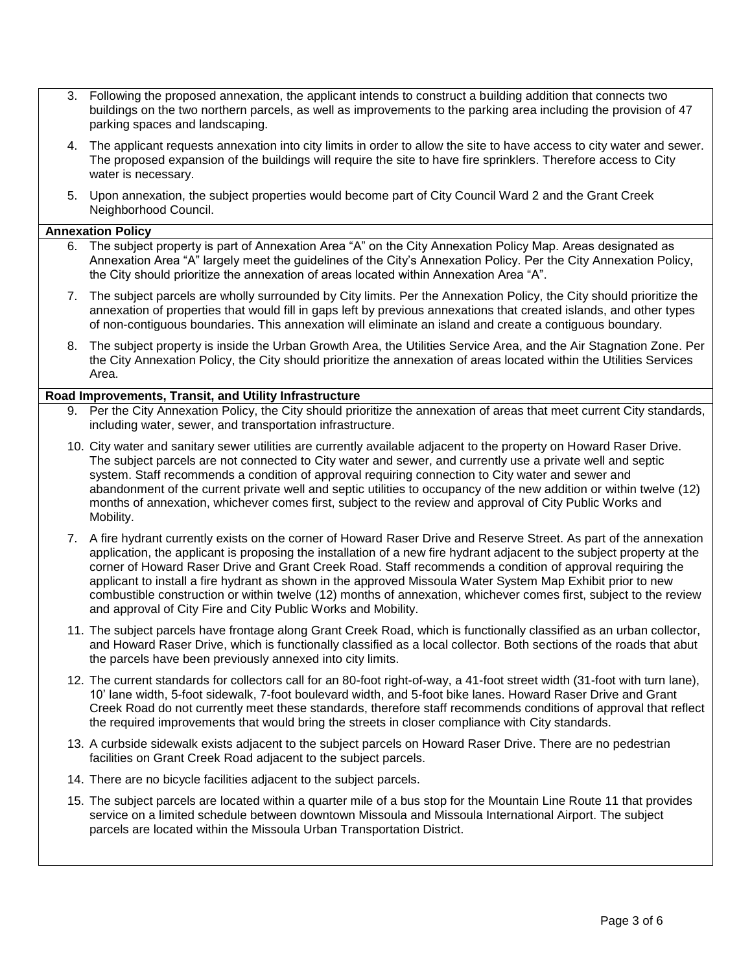- 3. Following the proposed annexation, the applicant intends to construct a building addition that connects two buildings on the two northern parcels, as well as improvements to the parking area including the provision of 47 parking spaces and landscaping.
- 4. The applicant requests annexation into city limits in order to allow the site to have access to city water and sewer. The proposed expansion of the buildings will require the site to have fire sprinklers. Therefore access to City water is necessary.
- 5. Upon annexation, the subject properties would become part of City Council Ward 2 and the Grant Creek Neighborhood Council.

#### **Annexation Policy**

- 6. The subject property is part of Annexation Area "A" on the City Annexation Policy Map. Areas designated as Annexation Area "A" largely meet the guidelines of the City's Annexation Policy. Per the City Annexation Policy, the City should prioritize the annexation of areas located within Annexation Area "A".
- 7. The subject parcels are wholly surrounded by City limits. Per the Annexation Policy, the City should prioritize the annexation of properties that would fill in gaps left by previous annexations that created islands, and other types of non-contiguous boundaries. This annexation will eliminate an island and create a contiguous boundary.
- 8. The subject property is inside the Urban Growth Area, the Utilities Service Area, and the Air Stagnation Zone. Per the City Annexation Policy, the City should prioritize the annexation of areas located within the Utilities Services Area.

#### **Road Improvements, Transit, and Utility Infrastructure**

- 9. Per the City Annexation Policy, the City should prioritize the annexation of areas that meet current City standards, including water, sewer, and transportation infrastructure.
- 10. City water and sanitary sewer utilities are currently available adjacent to the property on Howard Raser Drive. The subject parcels are not connected to City water and sewer, and currently use a private well and septic system. Staff recommends a condition of approval requiring connection to City water and sewer and abandonment of the current private well and septic utilities to occupancy of the new addition or within twelve (12) months of annexation, whichever comes first, subject to the review and approval of City Public Works and Mobility.
- 7. A fire hydrant currently exists on the corner of Howard Raser Drive and Reserve Street. As part of the annexation application, the applicant is proposing the installation of a new fire hydrant adjacent to the subject property at the corner of Howard Raser Drive and Grant Creek Road. Staff recommends a condition of approval requiring the applicant to install a fire hydrant as shown in the approved Missoula Water System Map Exhibit prior to new combustible construction or within twelve (12) months of annexation, whichever comes first, subject to the review and approval of City Fire and City Public Works and Mobility.
- 11. The subject parcels have frontage along Grant Creek Road, which is functionally classified as an urban collector, and Howard Raser Drive, which is functionally classified as a local collector. Both sections of the roads that abut the parcels have been previously annexed into city limits.
- 12. The current standards for collectors call for an 80-foot right-of-way, a 41-foot street width (31-foot with turn lane), 10' lane width, 5-foot sidewalk, 7-foot boulevard width, and 5-foot bike lanes. Howard Raser Drive and Grant Creek Road do not currently meet these standards, therefore staff recommends conditions of approval that reflect the required improvements that would bring the streets in closer compliance with City standards.
- 13. A curbside sidewalk exists adjacent to the subject parcels on Howard Raser Drive. There are no pedestrian facilities on Grant Creek Road adjacent to the subject parcels.
- 14. There are no bicycle facilities adjacent to the subject parcels.
- 15. The subject parcels are located within a quarter mile of a bus stop for the Mountain Line Route 11 that provides service on a limited schedule between downtown Missoula and Missoula International Airport. The subject parcels are located within the Missoula Urban Transportation District.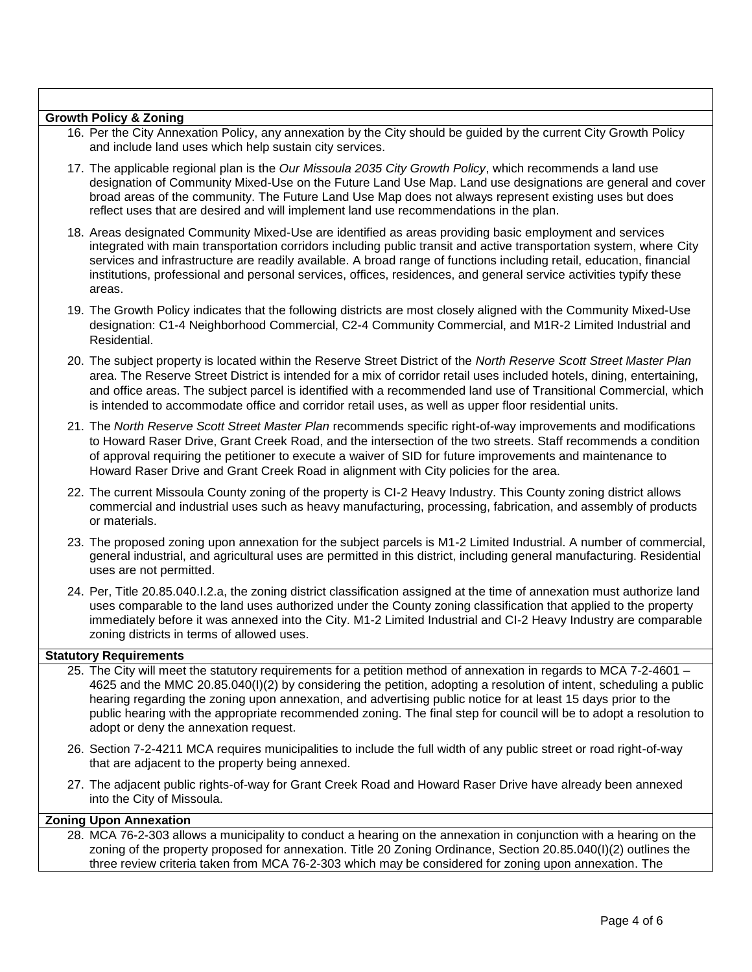### **Growth Policy & Zoning**

- 16. Per the City Annexation Policy, any annexation by the City should be guided by the current City Growth Policy and include land uses which help sustain city services.
- 17. The applicable regional plan is the *Our Missoula 2035 City Growth Policy*, which recommends a land use designation of Community Mixed-Use on the Future Land Use Map. Land use designations are general and cover broad areas of the community. The Future Land Use Map does not always represent existing uses but does reflect uses that are desired and will implement land use recommendations in the plan.
- 18. Areas designated Community Mixed-Use are identified as areas providing basic employment and services integrated with main transportation corridors including public transit and active transportation system, where City services and infrastructure are readily available. A broad range of functions including retail, education, financial institutions, professional and personal services, offices, residences, and general service activities typify these areas.
- 19. The Growth Policy indicates that the following districts are most closely aligned with the Community Mixed-Use designation: C1-4 Neighborhood Commercial, C2-4 Community Commercial, and M1R-2 Limited Industrial and Residential.
- 20. The subject property is located within the Reserve Street District of the *North Reserve Scott Street Master Plan* area. The Reserve Street District is intended for a mix of corridor retail uses included hotels, dining, entertaining, and office areas. The subject parcel is identified with a recommended land use of Transitional Commercial, which is intended to accommodate office and corridor retail uses, as well as upper floor residential units.
- 21. The *North Reserve Scott Street Master Plan* recommends specific right-of-way improvements and modifications to Howard Raser Drive, Grant Creek Road, and the intersection of the two streets. Staff recommends a condition of approval requiring the petitioner to execute a waiver of SID for future improvements and maintenance to Howard Raser Drive and Grant Creek Road in alignment with City policies for the area.
- 22. The current Missoula County zoning of the property is CI-2 Heavy Industry. This County zoning district allows commercial and industrial uses such as heavy manufacturing, processing, fabrication, and assembly of products or materials.
- 23. The proposed zoning upon annexation for the subject parcels is M1-2 Limited Industrial. A number of commercial, general industrial, and agricultural uses are permitted in this district, including general manufacturing. Residential uses are not permitted.
- 24. Per, Title 20.85.040.I.2.a, the zoning district classification assigned at the time of annexation must authorize land uses comparable to the land uses authorized under the County zoning classification that applied to the property immediately before it was annexed into the City. M1-2 Limited Industrial and CI-2 Heavy Industry are comparable zoning districts in terms of allowed uses.

#### **Statutory Requirements**

- 25. The City will meet the statutory requirements for a petition method of annexation in regards to MCA 7-2-4601 4625 and the MMC 20.85.040(I)(2) by considering the petition, adopting a resolution of intent, scheduling a public hearing regarding the zoning upon annexation, and advertising public notice for at least 15 days prior to the public hearing with the appropriate recommended zoning. The final step for council will be to adopt a resolution to adopt or deny the annexation request.
- 26. Section 7-2-4211 MCA requires municipalities to include the full width of any public street or road right-of-way that are adjacent to the property being annexed.
- 27. The adjacent public rights-of-way for Grant Creek Road and Howard Raser Drive have already been annexed into the City of Missoula.

### **Zoning Upon Annexation**

28. MCA 76-2-303 allows a municipality to conduct a hearing on the annexation in conjunction with a hearing on the zoning of the property proposed for annexation. Title 20 Zoning Ordinance, Section 20.85.040(I)(2) outlines the three review criteria taken from MCA 76-2-303 which may be considered for zoning upon annexation. The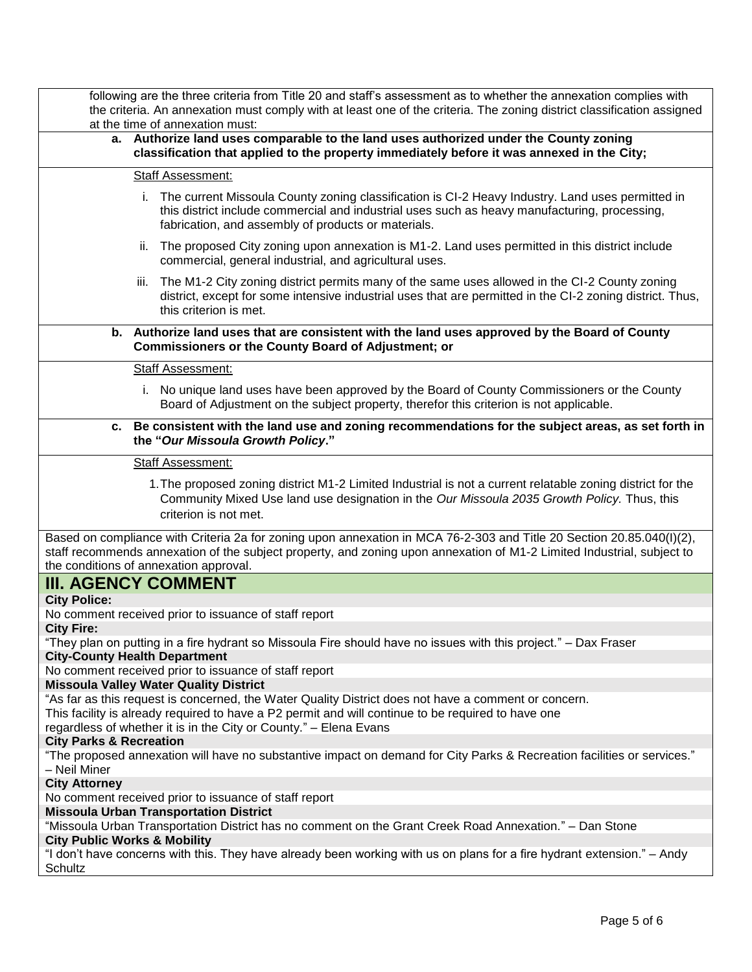|                                                                                                                                                    |                          | following are the three criteria from Title 20 and staff's assessment as to whether the annexation complies with<br>the criteria. An annexation must comply with at least one of the criteria. The zoning district classification assigned<br>at the time of annexation must:             |  |  |  |
|----------------------------------------------------------------------------------------------------------------------------------------------------|--------------------------|-------------------------------------------------------------------------------------------------------------------------------------------------------------------------------------------------------------------------------------------------------------------------------------------|--|--|--|
|                                                                                                                                                    |                          | a. Authorize land uses comparable to the land uses authorized under the County zoning<br>classification that applied to the property immediately before it was annexed in the City;                                                                                                       |  |  |  |
|                                                                                                                                                    | <b>Staff Assessment:</b> |                                                                                                                                                                                                                                                                                           |  |  |  |
|                                                                                                                                                    |                          | The current Missoula County zoning classification is CI-2 Heavy Industry. Land uses permitted in<br>this district include commercial and industrial uses such as heavy manufacturing, processing,<br>fabrication, and assembly of products or materials.                                  |  |  |  |
|                                                                                                                                                    | ii.                      | The proposed City zoning upon annexation is M1-2. Land uses permitted in this district include<br>commercial, general industrial, and agricultural uses.                                                                                                                                  |  |  |  |
|                                                                                                                                                    | iii.                     | The M1-2 City zoning district permits many of the same uses allowed in the CI-2 County zoning<br>district, except for some intensive industrial uses that are permitted in the CI-2 zoning district. Thus,<br>this criterion is met.                                                      |  |  |  |
|                                                                                                                                                    |                          | b. Authorize land uses that are consistent with the land uses approved by the Board of County<br><b>Commissioners or the County Board of Adjustment; or</b>                                                                                                                               |  |  |  |
|                                                                                                                                                    |                          | <b>Staff Assessment:</b>                                                                                                                                                                                                                                                                  |  |  |  |
|                                                                                                                                                    |                          | i. No unique land uses have been approved by the Board of County Commissioners or the County<br>Board of Adjustment on the subject property, therefor this criterion is not applicable.                                                                                                   |  |  |  |
|                                                                                                                                                    |                          | c. Be consistent with the land use and zoning recommendations for the subject areas, as set forth in<br>the "Our Missoula Growth Policy."                                                                                                                                                 |  |  |  |
|                                                                                                                                                    |                          | <b>Staff Assessment:</b>                                                                                                                                                                                                                                                                  |  |  |  |
|                                                                                                                                                    |                          | 1. The proposed zoning district M1-2 Limited Industrial is not a current relatable zoning district for the<br>Community Mixed Use land use designation in the Our Missoula 2035 Growth Policy. Thus, this<br>criterion is not met.                                                        |  |  |  |
|                                                                                                                                                    |                          | Based on compliance with Criteria 2a for zoning upon annexation in MCA 76-2-303 and Title 20 Section 20.85.040(I)(2),<br>staff recommends annexation of the subject property, and zoning upon annexation of M1-2 Limited Industrial, subject to<br>the conditions of annexation approval. |  |  |  |
|                                                                                                                                                    |                          | <b>III. AGENCY COMMENT</b>                                                                                                                                                                                                                                                                |  |  |  |
| <b>City Police:</b>                                                                                                                                |                          |                                                                                                                                                                                                                                                                                           |  |  |  |
| <b>City Fire:</b>                                                                                                                                  |                          | No comment received prior to issuance of staff report                                                                                                                                                                                                                                     |  |  |  |
|                                                                                                                                                    |                          | "They plan on putting in a fire hydrant so Missoula Fire should have no issues with this project." – Dax Fraser                                                                                                                                                                           |  |  |  |
| <b>City-County Health Department</b>                                                                                                               |                          |                                                                                                                                                                                                                                                                                           |  |  |  |
|                                                                                                                                                    |                          | No comment received prior to issuance of staff report                                                                                                                                                                                                                                     |  |  |  |
|                                                                                                                                                    |                          | <b>Missoula Valley Water Quality District</b><br>"As far as this request is concerned, the Water Quality District does not have a comment or concern.                                                                                                                                     |  |  |  |
|                                                                                                                                                    |                          | This facility is already required to have a P2 permit and will continue to be required to have one                                                                                                                                                                                        |  |  |  |
|                                                                                                                                                    |                          | regardless of whether it is in the City or County." - Elena Evans                                                                                                                                                                                                                         |  |  |  |
| <b>City Parks &amp; Recreation</b><br>- Neil Miner                                                                                                 |                          | "The proposed annexation will have no substantive impact on demand for City Parks & Recreation facilities or services."                                                                                                                                                                   |  |  |  |
| <b>City Attorney</b>                                                                                                                               |                          |                                                                                                                                                                                                                                                                                           |  |  |  |
|                                                                                                                                                    |                          | No comment received prior to issuance of staff report                                                                                                                                                                                                                                     |  |  |  |
|                                                                                                                                                    |                          | <b>Missoula Urban Transportation District</b>                                                                                                                                                                                                                                             |  |  |  |
| "Missoula Urban Transportation District has no comment on the Grant Creek Road Annexation." - Dan Stone<br><b>City Public Works &amp; Mobility</b> |                          |                                                                                                                                                                                                                                                                                           |  |  |  |
| "I don't have concerns with this. They have already been working with us on plans for a fire hydrant extension." – Andy<br>Schultz                 |                          |                                                                                                                                                                                                                                                                                           |  |  |  |